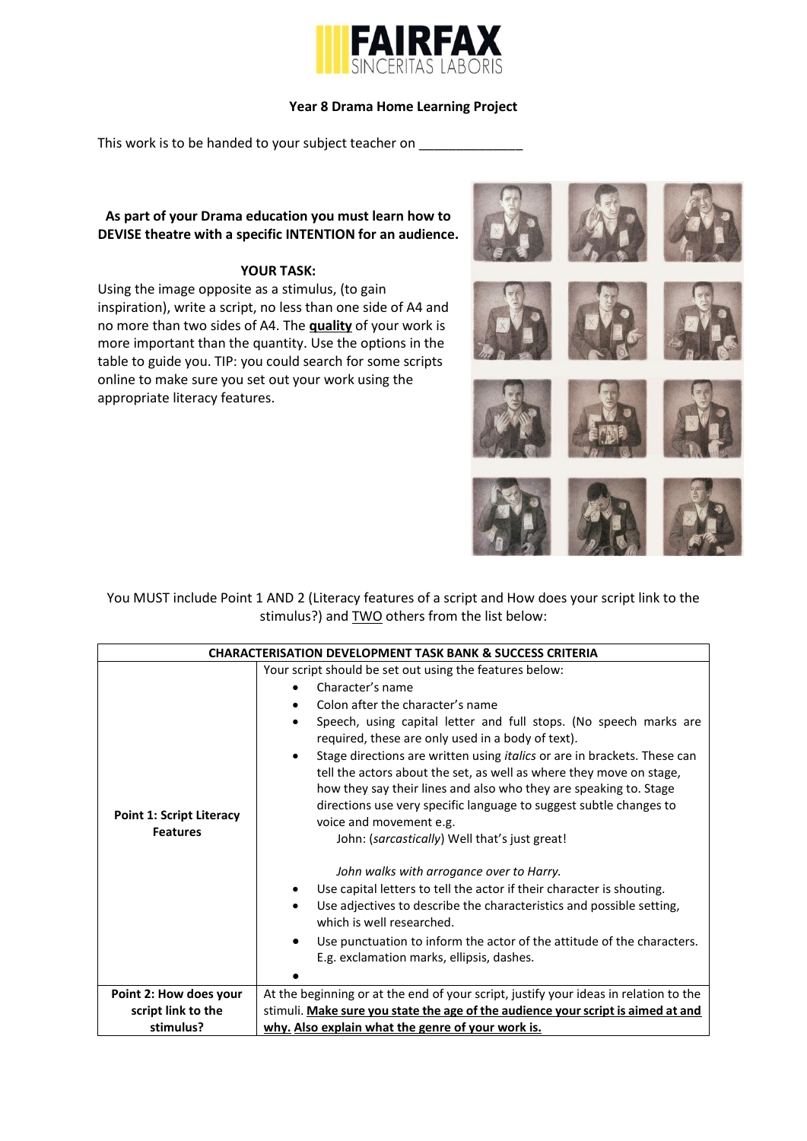

## **Year 8 Drama Home Learning Project**

This work is to be handed to your subject teacher on

## **As part of your Drama education you must learn how to DEVISE theatre with a specific INTENTION for an audience.**

## **YOUR TASK:**

Using the image opposite as a stimulus, (to gain inspiration), write a script, no less than one side of A4 and no more than two sides of A4. The **quality** of your work is more important than the quantity. Use the options in the table to guide you. TIP: you could search for some scripts online to make sure you set out your work using the appropriate literacy features.



You MUST include Point 1 AND 2 (Literacy features of a script and How does your script link to the stimulus?) and TWO others from the list below:

| <b>CHARACTERISATION DEVELOPMENT TASK BANK &amp; SUCCESS CRITERIA</b> |                                                                                                                                                                                                                                                                                                                              |  |  |
|----------------------------------------------------------------------|------------------------------------------------------------------------------------------------------------------------------------------------------------------------------------------------------------------------------------------------------------------------------------------------------------------------------|--|--|
|                                                                      | Your script should be set out using the features below:                                                                                                                                                                                                                                                                      |  |  |
| <b>Point 1: Script Literacy</b><br><b>Features</b>                   | Character's name                                                                                                                                                                                                                                                                                                             |  |  |
|                                                                      | Colon after the character's name                                                                                                                                                                                                                                                                                             |  |  |
|                                                                      | Speech, using capital letter and full stops. (No speech marks are<br>required, these are only used in a body of text).                                                                                                                                                                                                       |  |  |
|                                                                      | Stage directions are written using <i>italics</i> or are in brackets. These can<br>tell the actors about the set, as well as where they move on stage,<br>how they say their lines and also who they are speaking to. Stage<br>directions use very specific language to suggest subtle changes to<br>voice and movement e.g. |  |  |
|                                                                      | John: (sarcastically) Well that's just great!                                                                                                                                                                                                                                                                                |  |  |
|                                                                      | John walks with arrogance over to Harry.                                                                                                                                                                                                                                                                                     |  |  |
|                                                                      | Use capital letters to tell the actor if their character is shouting.                                                                                                                                                                                                                                                        |  |  |
|                                                                      | Use adjectives to describe the characteristics and possible setting,<br>which is well researched.                                                                                                                                                                                                                            |  |  |
|                                                                      | Use punctuation to inform the actor of the attitude of the characters.<br>E.g. exclamation marks, ellipsis, dashes.                                                                                                                                                                                                          |  |  |
|                                                                      |                                                                                                                                                                                                                                                                                                                              |  |  |
| Point 2: How does your                                               | At the beginning or at the end of your script, justify your ideas in relation to the                                                                                                                                                                                                                                         |  |  |
| script link to the                                                   | stimuli. Make sure you state the age of the audience your script is aimed at and                                                                                                                                                                                                                                             |  |  |
| stimulus?                                                            | why. Also explain what the genre of your work is.                                                                                                                                                                                                                                                                            |  |  |